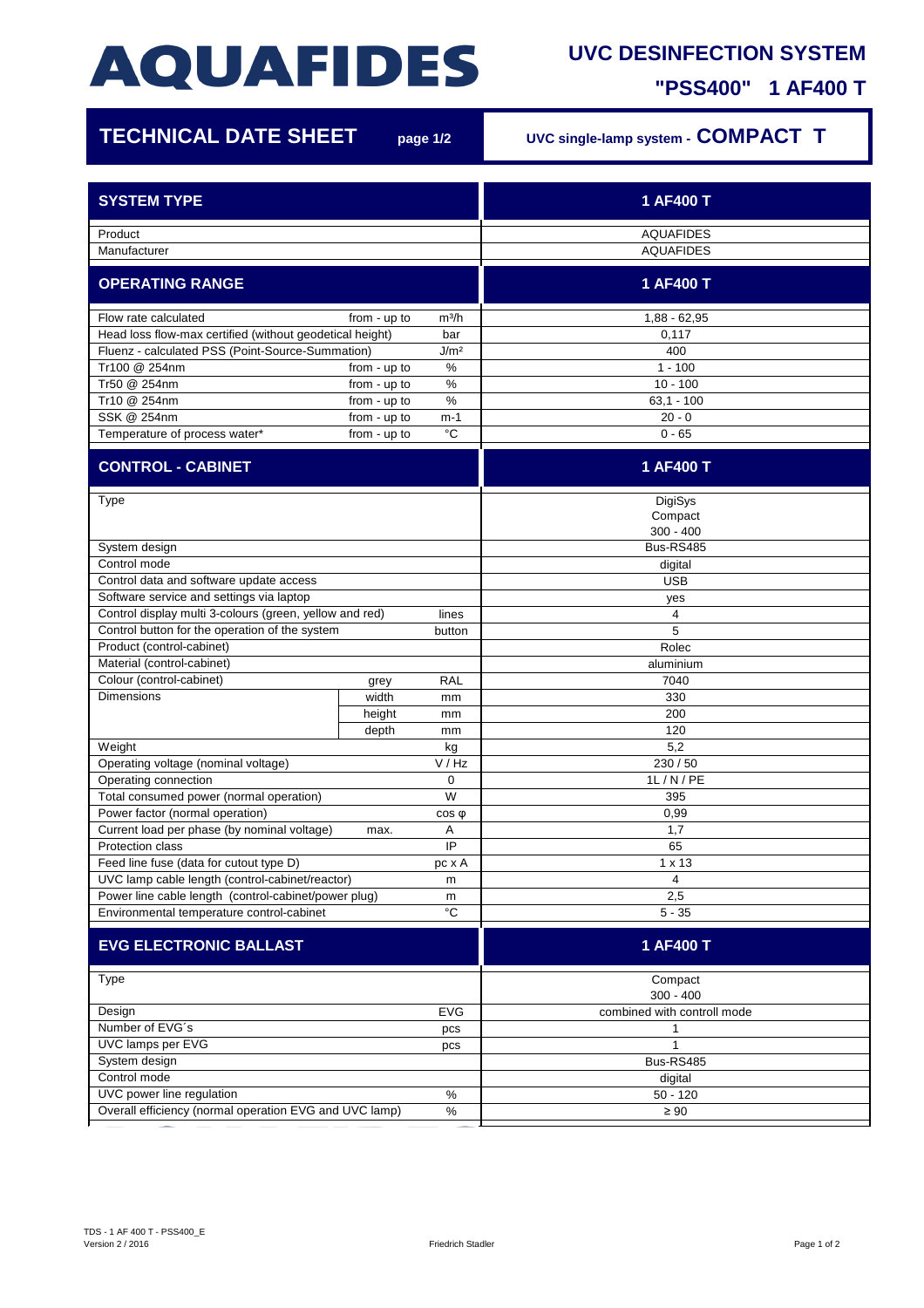## **AQUAFIDES**

## **UVC DESINFECTION SYSTEM**

**"PSS400" 1 AF400 T**

| <b>TECHNICAL DATE SHEET</b>                                                                               |              | page 1/2          | UVC single-lamp system - COMPACT T |
|-----------------------------------------------------------------------------------------------------------|--------------|-------------------|------------------------------------|
| <b>SYSTEM TYPE</b>                                                                                        |              |                   | 1 AF400 T                          |
|                                                                                                           |              |                   | <b>AQUAFIDES</b>                   |
| Product<br>Manufacturer                                                                                   |              |                   | <b>AQUAFIDES</b>                   |
|                                                                                                           |              |                   |                                    |
| <b>OPERATING RANGE</b>                                                                                    |              |                   | 1 AF400 T                          |
| Flow rate calculated                                                                                      | from - up to | m <sup>3</sup> /h | $1,88 - 62,95$                     |
| Head loss flow-max certified (without geodetical height)<br>bar                                           |              |                   | 0,117                              |
| Fluenz - calculated PSS (Point-Source-Summation)<br>J/m <sup>2</sup>                                      |              |                   | 400                                |
| Tr100 @ 254nm                                                                                             | from - up to | $\%$              | $1 - 100$                          |
| Tr50 @ 254nm                                                                                              | from - up to | %                 | $10 - 100$                         |
| Tr10 @ 254nm                                                                                              | from - up to | $\%$              | $63,1 - 100$                       |
| SSK @ 254nm                                                                                               | from - up to | $m-1$             | $20 - 0$                           |
| Temperature of process water*                                                                             | from - up to | °C                | $0 - 65$                           |
| <b>CONTROL - CABINET</b>                                                                                  |              |                   | 1 AF400 T                          |
| Type                                                                                                      |              |                   | DigiSys<br>Compact                 |
|                                                                                                           |              |                   | $300 - 400$                        |
| System design                                                                                             |              |                   | Bus-RS485                          |
| Control mode                                                                                              |              |                   | digital                            |
| Control data and software update access                                                                   |              |                   | <b>USB</b>                         |
| Software service and settings via laptop                                                                  |              |                   | yes                                |
| Control display multi 3-colours (green, yellow and red)<br>Control button for the operation of the system |              | lines             | 4<br>5                             |
| Product (control-cabinet)                                                                                 |              | button            | Rolec                              |
| Material (control-cabinet)                                                                                |              |                   | aluminium                          |
| Colour (control-cabinet)                                                                                  | grey         | <b>RAL</b>        | 7040                               |
| <b>Dimensions</b>                                                                                         | width        | mm                | 330                                |
|                                                                                                           | height       | mm                | 200                                |
|                                                                                                           | depth        | mm                | 120                                |
| Weight                                                                                                    |              | kg                | 5,2                                |
| Operating voltage (nominal voltage)<br>V/Hz                                                               |              |                   | 230 / 50                           |
| Operating connection                                                                                      |              | 0                 | 1L/N/PE                            |
| Total consumed power (normal operation)                                                                   |              | W                 | 395                                |
| Power factor (normal operation)                                                                           |              | $cos \phi$        | 0,99                               |
| Current load per phase (by nominal voltage)                                                               | max.         | A                 | 1,7                                |
| Protection class                                                                                          |              | IP                | 65                                 |
| Feed line fuse (data for cutout type D)                                                                   |              | pc x A            | $1 \times 13$                      |
| UVC lamp cable length (control-cabinet/reactor)<br>m                                                      |              |                   | 4                                  |
| Power line cable length (control-cabinet/power plug)<br>m                                                 |              |                   | 2,5                                |
| Environmental temperature control-cabinet                                                                 |              | $^{\circ}C$       | $5 - 35$                           |
| <b>EVG ELECTRONIC BALLAST</b>                                                                             |              |                   | 1 AF400 T                          |
| Type                                                                                                      |              |                   | Compact<br>$300 - 400$             |
| <b>EVG</b><br>Design                                                                                      |              |                   | combined with controll mode        |
| Number of EVG's<br>pcs                                                                                    |              |                   | 1                                  |
| UVC lamps per EVG<br>pcs                                                                                  |              |                   | $\mathbf{1}$                       |
| System design                                                                                             |              |                   | Bus-RS485                          |
| Control mode                                                                                              |              |                   | digital                            |
| UVC power line regulation<br>$\%$                                                                         |              |                   | $50 - 120$                         |
| Overall efficiency (normal operation EVG and UVC lamp)<br>$\%$                                            |              |                   | $\geq 90$                          |